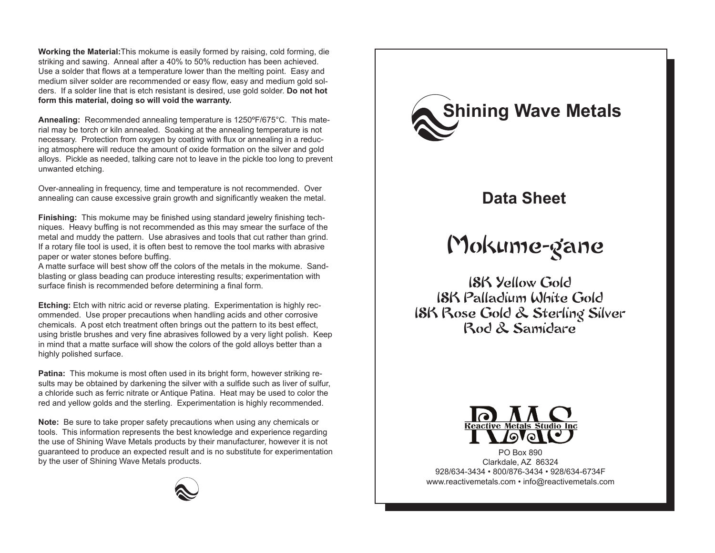**Working the Material:**This mokume is easily formed by raising, cold forming, die striking and sawing. Anneal after a 40% to 50% reduction has been achieved. Use a solder that flows at a temperature lower than the melting point. Easy and medium silver solder are recommended or easy flow, easy and medium gold solders. If a solder line that is etch resistant is desired, use gold solder. **Do not hot form this material, doing so will void the warranty.**

**Annealing:** Recommended annealing temperature is 1250ºF/675°C. This material may be torch or kiln annealed. Soaking at the annealing temperature is not necessary. Protection from oxygen by coating with flux or annealing in a reducing atmosphere will reduce the amount of oxide formation on the silver and gold alloys. Pickle as needed, talking care not to leave in the pickle too long to prevent unwanted etching.

Over-annealing in frequency, time and temperature is not recommended. Over annealing can cause excessive grain growth and significantly weaken the metal.

**Finishing:** This mokume may be finished using standard jewelry finishing techniques. Heavy buffing is not recommended as this may smear the surface of the metal and muddy the pattern. Use abrasives and tools that cut rather than grind. If a rotary file tool is used, it is often best to remove the tool marks with abrasive paper or water stones before buffing.

A matte surface will best show off the colors of the metals in the mokume. Sandblasting or glass beading can produce interesting results; experimentation with surface finish is recommended before determining a final form.

**Etching:** Etch with nitric acid or reverse plating. Experimentation is highly recommended. Use proper precautions when handling acids and other corrosive chemicals. A post etch treatment often brings out the pattern to its best effect, using bristle brushes and very fine abrasives followed by a very light polish. Keep in mind that a matte surface will show the colors of the gold alloys better than a highly polished surface.

**Patina:** This mokume is most often used in its bright form, however striking results may be obtained by darkening the silver with a sulfide such as liver of sulfur, a chloride such as ferric nitrate or Antique Patina. Heat may be used to color the red and yellow golds and the sterling. Experimentation is highly recommended.

**Note:** Be sure to take proper safety precautions when using any chemicals or tools. This information represents the best knowledge and experience regarding the use of Shining Wave Metals products by their manufacturer, however it is not guaranteed to produce an expected result and is no substitute for experimentation by the user of Shining Wave Metals products.



## **Data Sheet**

# Mokume-gane

18K Yellow Gold 18K Palladium White Gold 18K Rose Gold & Sterling Silver Rod & Samidare



PO Box 890 Clarkdale, AZ 86324 928/634-3434 • 800/876-3434 • 928/634-6734F www.reactivemetals.com • info@reactivemetals.com